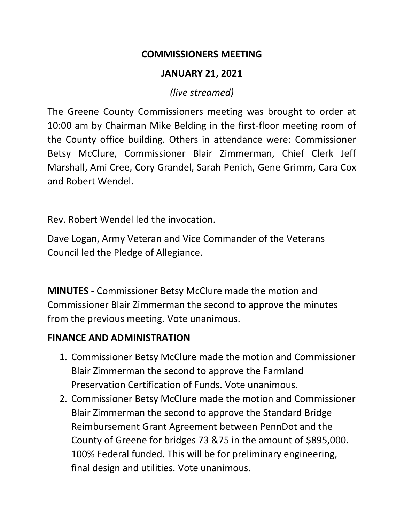#### **COMMISSIONERS MEETING**

### **JANUARY 21, 2021**

*(live streamed)*

The Greene County Commissioners meeting was brought to order at 10:00 am by Chairman Mike Belding in the first-floor meeting room of the County office building. Others in attendance were: Commissioner Betsy McClure, Commissioner Blair Zimmerman, Chief Clerk Jeff Marshall, Ami Cree, Cory Grandel, Sarah Penich, Gene Grimm, Cara Cox and Robert Wendel.

Rev. Robert Wendel led the invocation.

Dave Logan, Army Veteran and Vice Commander of the Veterans Council led the Pledge of Allegiance.

**MINUTES** - Commissioner Betsy McClure made the motion and Commissioner Blair Zimmerman the second to approve the minutes from the previous meeting. Vote unanimous.

### **FINANCE AND ADMINISTRATION**

- 1. Commissioner Betsy McClure made the motion and Commissioner Blair Zimmerman the second to approve the Farmland Preservation Certification of Funds. Vote unanimous.
- 2. Commissioner Betsy McClure made the motion and Commissioner Blair Zimmerman the second to approve the Standard Bridge Reimbursement Grant Agreement between PennDot and the County of Greene for bridges 73 &75 in the amount of \$895,000. 100% Federal funded. This will be for preliminary engineering, final design and utilities. Vote unanimous.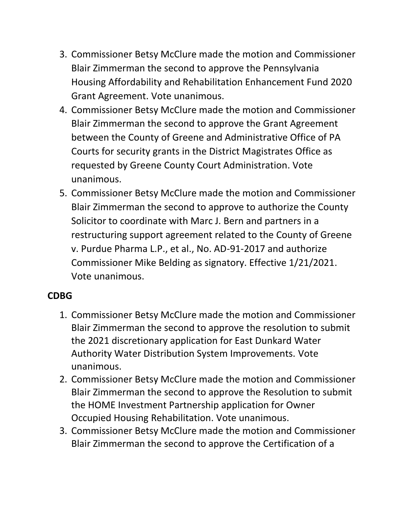- 3. Commissioner Betsy McClure made the motion and Commissioner Blair Zimmerman the second to approve the Pennsylvania Housing Affordability and Rehabilitation Enhancement Fund 2020 Grant Agreement. Vote unanimous.
- 4. Commissioner Betsy McClure made the motion and Commissioner Blair Zimmerman the second to approve the Grant Agreement between the County of Greene and Administrative Office of PA Courts for security grants in the District Magistrates Office as requested by Greene County Court Administration. Vote unanimous.
- 5. Commissioner Betsy McClure made the motion and Commissioner Blair Zimmerman the second to approve to authorize the County Solicitor to coordinate with Marc J. Bern and partners in a restructuring support agreement related to the County of Greene v. Purdue Pharma L.P., et al., No. AD-91-2017 and authorize Commissioner Mike Belding as signatory. Effective 1/21/2021. Vote unanimous.

### **CDBG**

- 1. Commissioner Betsy McClure made the motion and Commissioner Blair Zimmerman the second to approve the resolution to submit the 2021 discretionary application for East Dunkard Water Authority Water Distribution System Improvements. Vote unanimous.
- 2. Commissioner Betsy McClure made the motion and Commissioner Blair Zimmerman the second to approve the Resolution to submit the HOME Investment Partnership application for Owner Occupied Housing Rehabilitation. Vote unanimous.
- 3. Commissioner Betsy McClure made the motion and Commissioner Blair Zimmerman the second to approve the Certification of a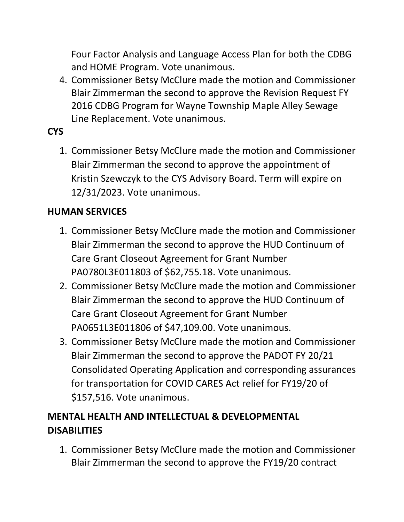Four Factor Analysis and Language Access Plan for both the CDBG and HOME Program. Vote unanimous.

4. Commissioner Betsy McClure made the motion and Commissioner Blair Zimmerman the second to approve the Revision Request FY 2016 CDBG Program for Wayne Township Maple Alley Sewage Line Replacement. Vote unanimous.

# **CYS**

1. Commissioner Betsy McClure made the motion and Commissioner Blair Zimmerman the second to approve the appointment of Kristin Szewczyk to the CYS Advisory Board. Term will expire on 12/31/2023. Vote unanimous.

### **HUMAN SERVICES**

- 1. Commissioner Betsy McClure made the motion and Commissioner Blair Zimmerman the second to approve the HUD Continuum of Care Grant Closeout Agreement for Grant Number PA0780L3E011803 of \$62,755.18. Vote unanimous.
- 2. Commissioner Betsy McClure made the motion and Commissioner Blair Zimmerman the second to approve the HUD Continuum of Care Grant Closeout Agreement for Grant Number PA0651L3E011806 of \$47,109.00. Vote unanimous.
- 3. Commissioner Betsy McClure made the motion and Commissioner Blair Zimmerman the second to approve the PADOT FY 20/21 Consolidated Operating Application and corresponding assurances for transportation for COVID CARES Act relief for FY19/20 of \$157,516. Vote unanimous.

# **MENTAL HEALTH AND INTELLECTUAL & DEVELOPMENTAL DISABILITIES**

1. Commissioner Betsy McClure made the motion and Commissioner Blair Zimmerman the second to approve the FY19/20 contract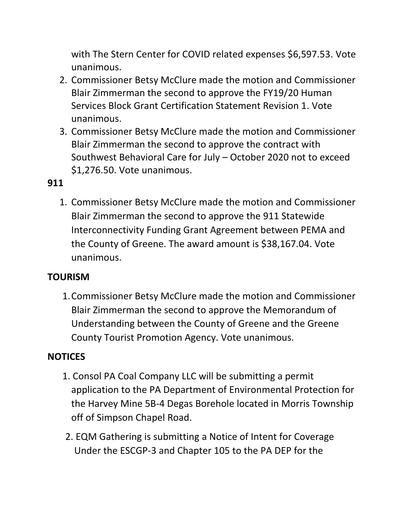with The Stern Center for COVID related expenses \$6,597.53. Vote unanimous.

- 2. Commissioner Betsy McClure made the motion and Commissioner Blair Zimmerman the second to approve the FY19/20 Human Services Block Grant Certification Statement Revision 1. Vote unanimous.
- 3. Commissioner Betsy McClure made the motion and Commissioner Blair Zimmerman the second to approve the contract with Southwest Behavioral Care for July – October 2020 not to exceed \$1,276.50. Vote unanimous.

## **911**

1. Commissioner Betsy McClure made the motion and Commissioner Blair Zimmerman the second to approve the 911 Statewide Interconnectivity Funding Grant Agreement between PEMA and the County of Greene. The award amount is \$38,167.04. Vote unanimous.

### **TOURISM**

1.Commissioner Betsy McClure made the motion and Commissioner Blair Zimmerman the second to approve the Memorandum of Understanding between the County of Greene and the Greene County Tourist Promotion Agency. Vote unanimous.

# **NOTICES**

- 1. Consol PA Coal Company LLC will be submitting a permit application to the PA Department of Environmental Protection for the Harvey Mine 5B-4 Degas Borehole located in Morris Township off of Simpson Chapel Road.
- 2. EQM Gathering is submitting a Notice of Intent for Coverage Under the ESCGP-3 and Chapter 105 to the PA DEP for the